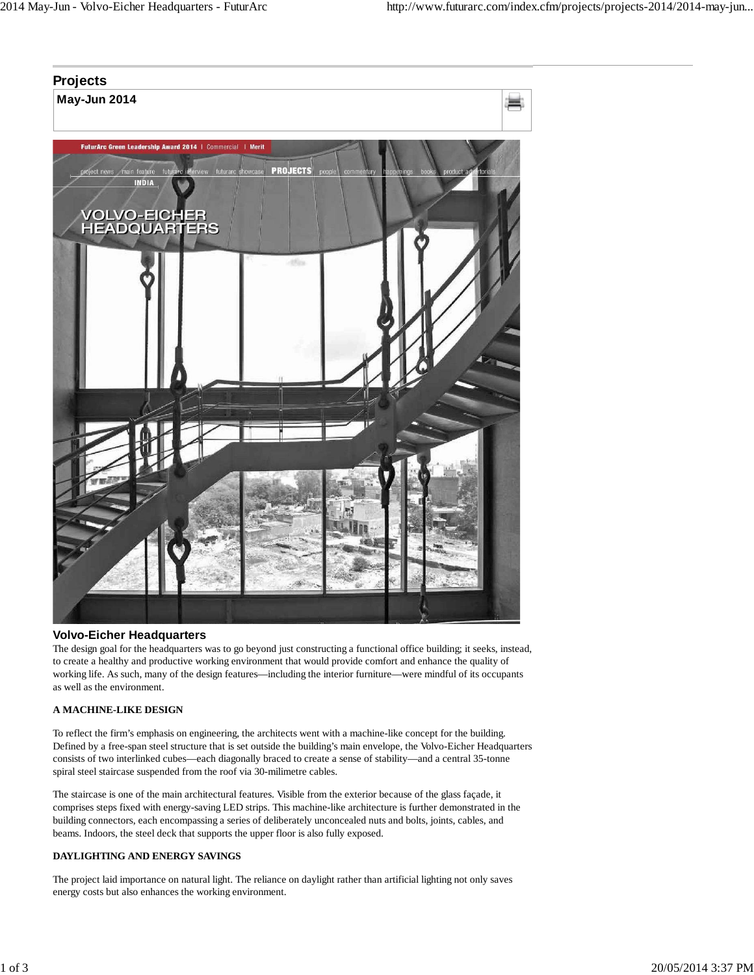# **Projects**

**May-Jun 2014**



### **Volvo-Eicher Headquarters**

The design goal for the headquarters was to go beyond just constructing a functional office building; it seeks, instead, to create a healthy and productive working environment that would provide comfort and enhance the quality of working life. As such, many of the design features—including the interior furniture—were mindful of its occupants as well as the environment.

#### **A MACHINE-LIKE DESIGN**

To reflect the firm's emphasis on engineering, the architects went with a machine-like concept for the building. Defined by a free-span steel structure that is set outside the building's main envelope, the Volvo-Eicher Headquarters consists of two interlinked cubes—each diagonally braced to create a sense of stability—and a central 35-tonne spiral steel staircase suspended from the roof via 30-milimetre cables.

The staircase is one of the main architectural features. Visible from the exterior because of the glass façade, it comprises steps fixed with energy-saving LED strips. This machine-like architecture is further demonstrated in the building connectors, each encompassing a series of deliberately unconcealed nuts and bolts, joints, cables, and beams. Indoors, the steel deck that supports the upper floor is also fully exposed.

#### **DAYLIGHTING AND ENERGY SAVINGS**

The project laid importance on natural light. The reliance on daylight rather than artificial lighting not only saves energy costs but also enhances the working environment.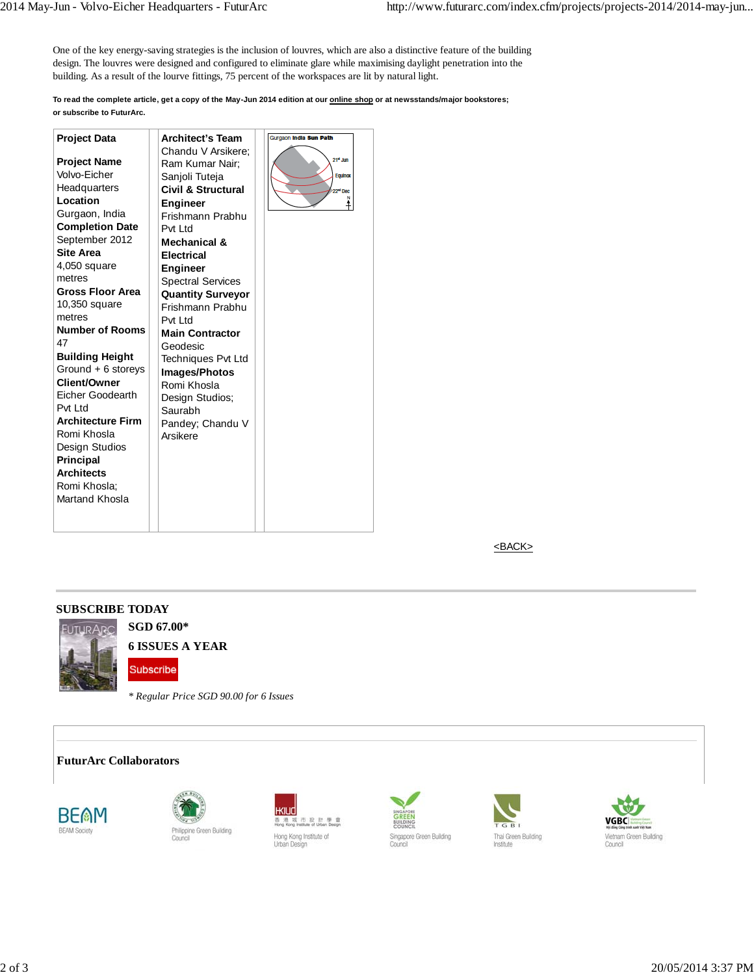One of the key energy-saving strategies is the inclusion of louvres, which are also a distinctive feature of the building design. The louvres were designed and configured to eliminate glare while maximising daylight penetration into the building. As a result of the lourve fittings, 75 percent of the workspaces are lit by natural light.

**To read the complete article, get a copy of the May-Jun 2014 edition at our online shop or at newsstands/major bookstores; or subscribe to FuturArc.**

| <b>Project Data</b>      | <b>Architect's Team</b><br>Chandu V Arsikere: | Gurgaon India Sun Path |
|--------------------------|-----------------------------------------------|------------------------|
| <b>Project Name</b>      |                                               | $214$ Jun              |
| Volvo-Eicher             | Ram Kumar Nair;                               | Equinox                |
| Headquarters             | Sanjoli Tuteja<br>Civil & Structural          | 22 <sup>md</sup> Dec   |
| Location                 | <b>Engineer</b>                               |                        |
| Gurgaon, India           | Frishmann Prabhu                              |                        |
| <b>Completion Date</b>   | Pvt I td                                      |                        |
| September 2012           | Mechanical &                                  |                        |
| <b>Site Area</b>         | <b>Electrical</b>                             |                        |
| 4,050 square             | <b>Engineer</b>                               |                        |
| metres                   | <b>Spectral Services</b>                      |                        |
| <b>Gross Floor Area</b>  | <b>Quantity Surveyor</b>                      |                        |
| 10,350 square            | Frishmann Prabhu                              |                        |
| metres                   | Pvt Ltd                                       |                        |
| <b>Number of Rooms</b>   | <b>Main Contractor</b>                        |                        |
| 47                       | Geodesic                                      |                        |
| <b>Building Height</b>   | <b>Techniques Pvt Ltd</b>                     |                        |
| Ground + 6 storeys       | <b>Images/Photos</b>                          |                        |
| <b>Client/Owner</b>      | Romi Khosla                                   |                        |
| Eicher Goodearth         | Design Studios;                               |                        |
| Pvt Ltd                  | Saurabh                                       |                        |
| <b>Architecture Firm</b> | Pandey; Chandu V                              |                        |
| Romi Khosla              | Arsikere                                      |                        |
| Design Studios           |                                               |                        |
| <b>Principal</b>         |                                               |                        |
| <b>Architects</b>        |                                               |                        |
| Romi Khosla:             |                                               |                        |
| Martand Khosla           |                                               |                        |
|                          |                                               |                        |
|                          |                                               |                        |

<BACK>

## **SUBSCRIBE TODAY**



Subscribe

**6 ISSUES A YEAR**

**SGD 67.00\***

*\* Regular Price SGD 90.00 for 6 Issues*

#### **FuturArc Collaborators**